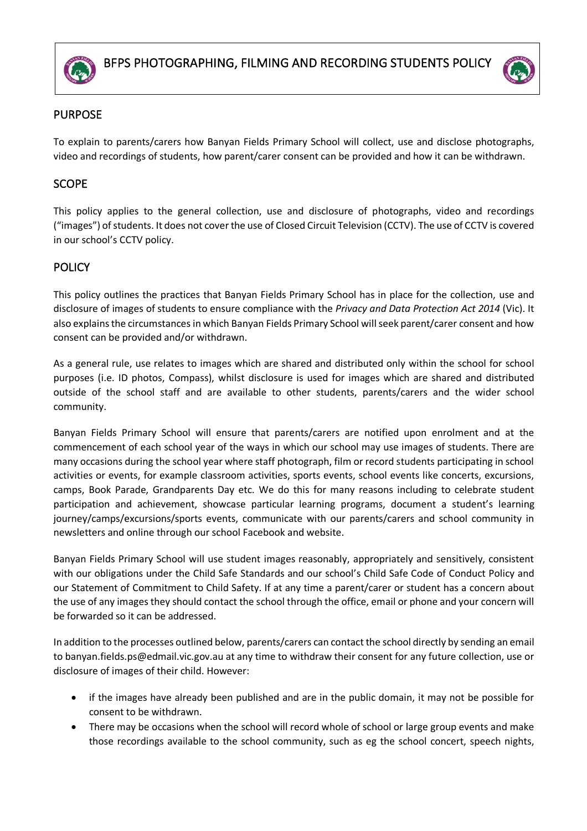



# PURPOSE

To explain to parents/carers how Banyan Fields Primary School will collect, use and disclose photographs, video and recordings of students, how parent/carer consent can be provided and how it can be withdrawn.

## **SCOPE**

This policy applies to the general collection, use and disclosure of photographs, video and recordings ("images") of students. It does not cover the use of Closed Circuit Television (CCTV). The use of CCTV is covered in our school's CCTV policy.

# **POLICY**

This policy outlines the practices that Banyan Fields Primary School has in place for the collection, use and disclosure of images of students to ensure compliance with the *Privacy and Data Protection Act 2014* (Vic). It also explains the circumstances in which Banyan Fields Primary School will seek parent/carer consent and how consent can be provided and/or withdrawn.

As a general rule, use relates to images which are shared and distributed only within the school for school purposes (i.e. ID photos, Compass), whilst disclosure is used for images which are shared and distributed outside of the school staff and are available to other students, parents/carers and the wider school community.

Banyan Fields Primary School will ensure that parents/carers are notified upon enrolment and at the commencement of each school year of the ways in which our school may use images of students. There are many occasions during the school year where staff photograph, film or record students participating in school activities or events, for example classroom activities, sports events, school events like concerts, excursions, camps, Book Parade, Grandparents Day etc. We do this for many reasons including to celebrate student participation and achievement, showcase particular learning programs, document a student's learning journey/camps/excursions/sports events, communicate with our parents/carers and school community in newsletters and online through our school Facebook and website.

Banyan Fields Primary School will use student images reasonably, appropriately and sensitively, consistent with our obligations under the Child Safe Standards and our school's Child Safe Code of Conduct Policy and our Statement of Commitment to Child Safety. If at any time a parent/carer or student has a concern about the use of any images they should contact the school through the office, email or phone and your concern will be forwarded so it can be addressed.

In addition to the processes outlined below, parents/carers can contact the school directly by sending an email to banyan.fields.ps@edmail.vic.gov.au at any time to withdraw their consent for any future collection, use or disclosure of images of their child. However:

- if the images have already been published and are in the public domain, it may not be possible for consent to be withdrawn.
- There may be occasions when the school will record whole of school or large group events and make those recordings available to the school community, such as eg the school concert, speech nights,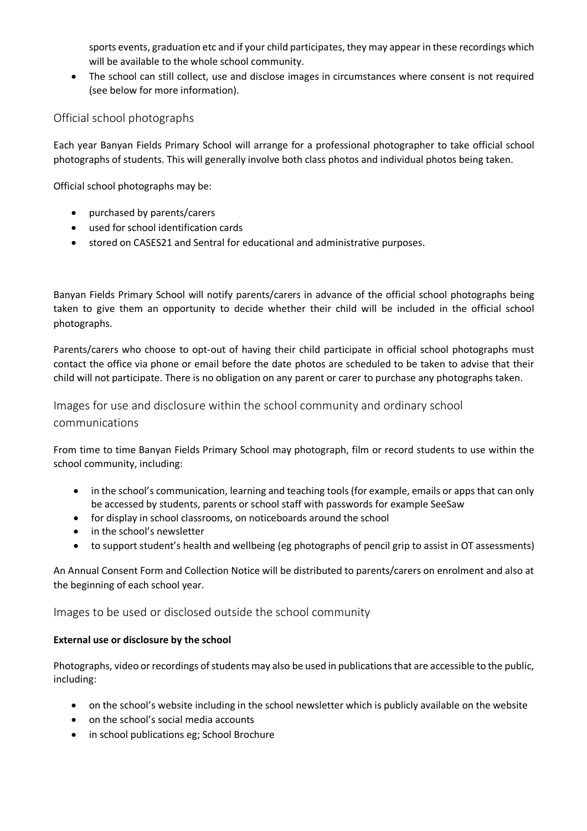sports events, graduation etc and if your child participates, they may appear in these recordings which will be available to the whole school community.

• The school can still collect, use and disclose images in circumstances where consent is not required (see below for more information).

## Official school photographs

Each year Banyan Fields Primary School will arrange for a professional photographer to take official school photographs of students. This will generally involve both class photos and individual photos being taken.

Official school photographs may be:

- purchased by parents/carers
- used for school identification cards
- stored on CASES21 and Sentral for educational and administrative purposes.

Banyan Fields Primary School will notify parents/carers in advance of the official school photographs being taken to give them an opportunity to decide whether their child will be included in the official school photographs.

Parents/carers who choose to opt-out of having their child participate in official school photographs must contact the office via phone or email before the date photos are scheduled to be taken to advise that their child will not participate. There is no obligation on any parent or carer to purchase any photographs taken.

Images for use and disclosure within the school community and ordinary school communications

From time to time Banyan Fields Primary School may photograph, film or record students to use within the school community, including:

- in the school's communication, learning and teaching tools (for example, emails or apps that can only be accessed by students, parents or school staff with passwords for example SeeSaw
- for display in school classrooms, on noticeboards around the school
- in the school's newsletter
- to support student's health and wellbeing (eg photographs of pencil grip to assist in OT assessments)

An Annual Consent Form and Collection Notice will be distributed to parents/carers on enrolment and also at the beginning of each school year.

Images to be used or disclosed outside the school community

### **External use or disclosure by the school**

Photographs, video or recordings of students may also be used in publications that are accessible to the public, including:

- on the school's website including in the school newsletter which is publicly available on the website
- on the school's social media accounts
- in school publications eg; School Brochure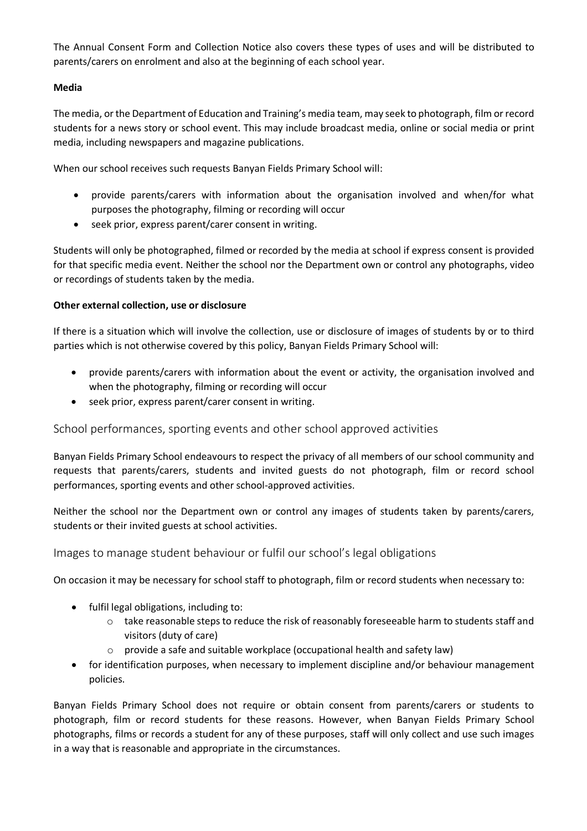The Annual Consent Form and Collection Notice also covers these types of uses and will be distributed to parents/carers on enrolment and also at the beginning of each school year.

#### **Media**

The media, or the Department of Education and Training's media team, may seek to photograph, film or record students for a news story or school event. This may include broadcast media, online or social media or print media, including newspapers and magazine publications.

When our school receives such requests Banyan Fields Primary School will:

- provide parents/carers with information about the organisation involved and when/for what purposes the photography, filming or recording will occur
- seek prior, express parent/carer consent in writing.

Students will only be photographed, filmed or recorded by the media at school if express consent is provided for that specific media event. Neither the school nor the Department own or control any photographs, video or recordings of students taken by the media.

#### **Other external collection, use or disclosure**

If there is a situation which will involve the collection, use or disclosure of images of students by or to third parties which is not otherwise covered by this policy, Banyan Fields Primary School will:

- provide parents/carers with information about the event or activity, the organisation involved and when the photography, filming or recording will occur
- seek prior, express parent/carer consent in writing.

### School performances, sporting events and other school approved activities

Banyan Fields Primary School endeavours to respect the privacy of all members of our school community and requests that parents/carers, students and invited guests do not photograph, film or record school performances, sporting events and other school-approved activities.

Neither the school nor the Department own or control any images of students taken by parents/carers, students or their invited guests at school activities.

### Images to manage student behaviour or fulfil our school's legal obligations

On occasion it may be necessary for school staff to photograph, film or record students when necessary to:

- fulfil legal obligations, including to:
	- $\circ$  take reasonable steps to reduce the risk of reasonably foreseeable harm to students staff and visitors (duty of care)
	- $\circ$  provide a safe and suitable workplace (occupational health and safety law)
- for identification purposes, when necessary to implement discipline and/or behaviour management policies.

Banyan Fields Primary School does not require or obtain consent from parents/carers or students to photograph, film or record students for these reasons. However, when Banyan Fields Primary School photographs, films or records a student for any of these purposes, staff will only collect and use such images in a way that is reasonable and appropriate in the circumstances.